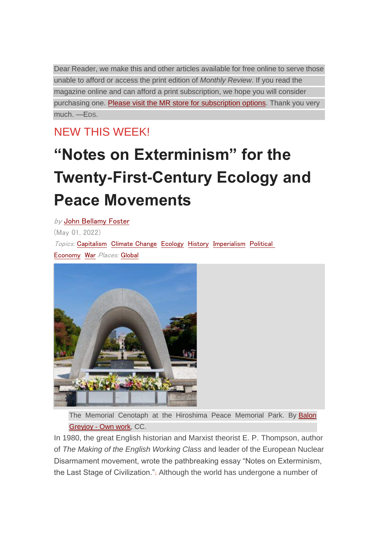Dear Reader, we make this and other articles available for free online to serve those unable to afford or access the print edition of *Monthly Review*. If you read the magazine online and can afford a print subscription, we hope you will consider purchasing one. Please visit the MR store for [subscription](https://monthlyreview.org/press/subscriptions/) options. Thank you very much. —EDS.

NEW THIS WEEK!

# **"Notes on Exterminism" for the Twenty-First-Century Ecology and Peace Movements**

by John [Bellamy](https://monthlyreview.org/author/johnbellamyfoster/) Foster (May 01, 2022) Topics: [Capitalism](https://monthlyreview.org/subjects/capitalism/) [Climate](https://monthlyreview.org/subjects/climate-change/) Change [Ecology](https://monthlyreview.org/subjects/ecology/) [History](https://monthlyreview.org/subjects/history/) [Imperialism](https://monthlyreview.org/subjects/imperialism/) [Political](https://monthlyreview.org/subjects/political-economy/) [Economy](https://monthlyreview.org/subjects/political-economy/) [War](https://monthlyreview.org/subjects/war/) Places: [Global](https://monthlyreview.org/geography/global/)



The Memorial Cenotaph at the Hiroshima Peace Memorial Park. By [Balon](https://commons.wikimedia.org/w/index.php?curid=109246076) [Greyjoy](https://commons.wikimedia.org/w/index.php?curid=109246076) - Own work, CC.

In 1980, the great English historian and Marxist theorist E. P. Thompson, author of *The Making of the English Working Class* and leader of the European Nuclear Disarmament movement, wrote the pathbreaking essay "Notes on Exterminism, the Last Stage of Civilization.["](https://monthlyreview.org/2022/05/01/notes-on-exterminism-for-the-twenty-first-century-ecology-and-peace-movements/?mc_cid=beb9d68d23&mc_eid=56eec46408#en1)<sup>1</sup> Although the world has undergone a number of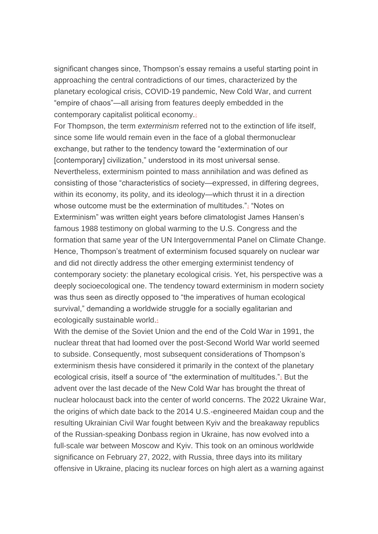significant changes since, Thompson's essay remains a useful starting point in approaching the central contradictions of our times, characterized by the planetary ecological crisis, COVID-19 pandemic, New Cold War, and current "empire of chaos"—all arising from features deeply embedded in the contemporary capitalist political economy[.](https://monthlyreview.org/2022/05/01/notes-on-exterminism-for-the-twenty-first-century-ecology-and-peace-movements/?mc_cid=beb9d68d23&mc_eid=56eec46408#en2)<sup>2</sup>

For Thompson, the term *exterminism* referred not to the extinction of life itself, since some life would remain even in the face of a global thermonuclear exchange, but rather to the tendency toward the "extermination of our [contemporary] civilization," understood in its most universal sense. Nevertheless, exterminism pointed to mass annihilation and was defined as consisting of those "characteristics of society—expressed, in differing degrees, within its economy, its polity, and its ideology—which thrust it in a direction whose outcome must be the extermination of multitudes.["](https://monthlyreview.org/2022/05/01/notes-on-exterminism-for-the-twenty-first-century-ecology-and-peace-movements/?mc_cid=beb9d68d23&mc_eid=56eec46408#en3)<sup>3</sup> "Notes on Exterminism" was written eight years before climatologist James Hansen's famous 1988 testimony on global warming to the U.S. Congress and the formation that same year of the UN Intergovernmental Panel on Climate Change. Hence, Thompson's treatment of exterminism focused squarely on nuclear war and did not directly address the other emerging exterminist tendency of contemporary society: the planetary ecological crisis. Yet, his perspective was a deeply socioecological one. The tendency toward exterminism in modern society was thus seen as directly opposed to "the imperatives of human ecological survival," demanding a worldwide struggle for a socially egalitarian and ecologically sustainable world[.](https://monthlyreview.org/2022/05/01/notes-on-exterminism-for-the-twenty-first-century-ecology-and-peace-movements/?mc_cid=beb9d68d23&mc_eid=56eec46408#en4)4

With the demise of the Soviet Union and the end of the Cold War in 1991, the nuclear threat that had loomed over the post-Second World War world seemed to subside. Consequently, most subsequent considerations of Thompson's exterminism thesis have considered it primarily in the context of the planetary ecological crisis, itself a source of "the extermination of multitudes.["](https://monthlyreview.org/2022/05/01/notes-on-exterminism-for-the-twenty-first-century-ecology-and-peace-movements/?mc_cid=beb9d68d23&mc_eid=56eec46408#en5)<sup>5</sup> But the advent over the last decade of the New Cold War has brought the threat of nuclear holocaust back into the center of world concerns. The 2022 Ukraine War, the origins of which date back to the 2014 U.S.-engineered Maidan coup and the resulting Ukrainian Civil War fought between Kyiv and the breakaway republics of the Russian-speaking Donbass region in Ukraine, has now evolved into a full-scale war between Moscow and Kyiv. This took on an ominous worldwide significance on February 27, 2022, with Russia, three days into its military offensive in Ukraine, placing its nuclear forces on high alert as a warning against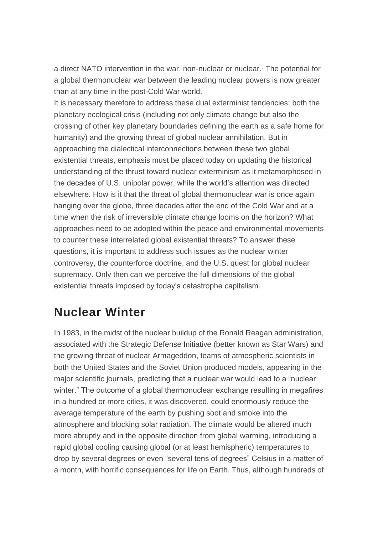a direct NATO intervention in the war, non-nuclear or nuclear[.](https://monthlyreview.org/2022/05/01/notes-on-exterminism-for-the-twenty-first-century-ecology-and-peace-movements/?mc_cid=beb9d68d23&mc_eid=56eec46408#en6) The potential for a global thermonuclear war between the leading nuclear powers is now greater than at any time in the post-Cold War world.

It is necessary therefore to address these dual exterminist tendencies: both the planetary ecological crisis (including not only climate change but also the crossing of other key planetary boundaries defining the earth as a safe home for humanity) and the growing threat of global nuclear annihilation. But in approaching the dialectical interconnections between these two global existential threats, emphasis must be placed today on updating the historical understanding of the thrust toward nuclear exterminism as it metamorphosed in the decades of U.S. unipolar power, while the world's attention was directed elsewhere. How is it that the threat of global thermonuclear war is once again hanging over the globe, three decades after the end of the Cold War and at a time when the risk of irreversible climate change looms on the horizon? What approaches need to be adopted within the peace and environmental movements to counter these interrelated global existential threats? To answer these questions, it is important to address such issues as the nuclear winter controversy, the counterforce doctrine, and the U.S. quest for global nuclear supremacy. Only then can we perceive the full dimensions of the global existential threats imposed by today's catastrophe capitalism.

### **Nuclear Winter**

In 1983, in the midst of the nuclear buildup of the Ronald Reagan administration, associated with the Strategic Defense Initiative (better known as Star Wars) and the growing threat of nuclear Armageddon, teams of atmospheric scientists in both the United States and the Soviet Union produced models, appearing in the major scientific journals, predicting that a nuclear war would lead to a "nuclear winter." The outcome of a global thermonuclear exchange resulting in megafires in a hundred or more cities, it was discovered, could enormously reduce the average temperature of the earth by pushing soot and smoke into the atmosphere and blocking solar radiation. The climate would be altered much more abruptly and in the opposite direction from global warming, introducing a rapid global cooling causing global (or at least hemispheric) temperatures to drop by several degrees or even "several tens of degrees" Celsius in a matter of a month, with horrific consequences for life on Earth. Thus, although hundreds of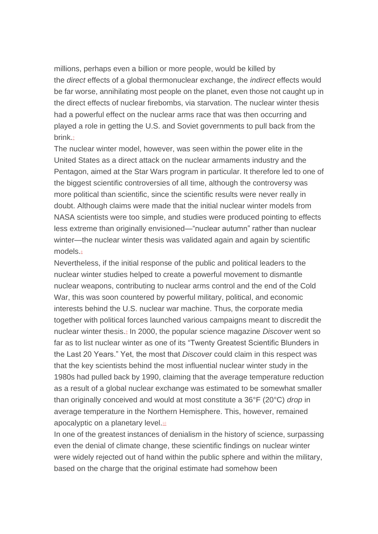millions, perhaps even a billion or more people, would be killed by the *direct* effects of a global thermonuclear exchange, the *indirect* effects would be far worse, annihilating most people on the planet, even those not caught up in the direct effects of nuclear firebombs, via starvation. The nuclear winter thesis had a powerful effect on the nuclear arms race that was then occurring and played a role in getting the U.S. and Soviet governments to pull back from the brink<sup>7</sup>

The nuclear winter model, however, was seen within the power elite in the United States as a direct attack on the nuclear armaments industry and the Pentagon, aimed at the Star Wars program in particular. It therefore led to one of the biggest scientific controversies of all time, although the controversy was more political than scientific, since the scientific results were never really in doubt. Although claims were made that the initial nuclear winter models from NASA scientists were too simple, and studies were produced pointing to effects less extreme than originally envisioned—"nuclear autumn" rather than nuclear winter—the nuclear winter thesis was validated again and again by scientific models[.](https://monthlyreview.org/2022/05/01/notes-on-exterminism-for-the-twenty-first-century-ecology-and-peace-movements/?mc_cid=beb9d68d23&mc_eid=56eec46408#en8)<sup>8</sup>

Nevertheless, if the initial response of the public and political leaders to the nuclear winter studies helped to create a powerful movement to dismantle nuclear weapons, contributing to nuclear arms control and the end of the Cold War, this was soon countered by powerful military, political, and economic interests behind the U.S. nuclear war machine. Thus, the corporate media together with political forces launched various campaigns meant to discredit the nuclear winter thesis[.](https://monthlyreview.org/2022/05/01/notes-on-exterminism-for-the-twenty-first-century-ecology-and-peace-movements/?mc_cid=beb9d68d23&mc_eid=56eec46408#en9)<sup>9</sup> In 2000, the popular science magazine *Discover* went so far as to list nuclear winter as one of its "Twenty Greatest Scientific Blunders in the Last 20 Years." Yet, the most that *Discover* could claim in this respect was that the key scientists behind the most influential nuclear winter study in the 1980s had pulled back by 1990, claiming that the average temperature reduction as a result of a global nuclear exchange was estimated to be somewhat smaller than originally conceived and would at most constitute a 36°F (20°C) *drop* in average temperature in the Northern Hemisphere. This, however, remained apocalyptic on a planetary level.<sup>[10](https://monthlyreview.org/2022/05/01/notes-on-exterminism-for-the-twenty-first-century-ecology-and-peace-movements/?mc_cid=beb9d68d23&mc_eid=56eec46408#en10)</sup>

In one of the greatest instances of denialism in the history of science, surpassing even the denial of climate change, these scientific findings on nuclear winter were widely rejected out of hand within the public sphere and within the military, based on the charge that the original estimate had somehow been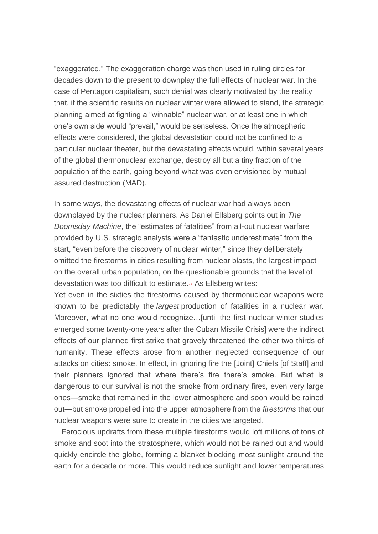"exaggerated." The exaggeration charge was then used in ruling circles for decades down to the present to downplay the full effects of nuclear war. In the case of Pentagon capitalism, such denial was clearly motivated by the reality that, if the scientific results on nuclear winter were allowed to stand, the strategic planning aimed at fighting a "winnable" nuclear war, or at least one in which one's own side would "prevail," would be senseless. Once the atmospheric effects were considered, the global devastation could not be confined to a particular nuclear theater, but the devastating effects would, within several years of the global thermonuclear exchange, destroy all but a tiny fraction of the population of the earth, going beyond what was even envisioned by mutual assured destruction (MAD).

In some ways, the devastating effects of nuclear war had always been downplayed by the nuclear planners. As Daniel Ellsberg points out in *The Doomsday Machine*, the "estimates of fatalities" from all-out nuclear warfare provided by U.S. strategic analysts were a "fantastic underestimate" from the start, "even before the discovery of nuclear winter," since they deliberately omitted the firestorms in cities resulting from nuclear blasts, the largest impact on the overall urban population, on the questionable grounds that the level of devastation was too difficult to estimate.[11](https://monthlyreview.org/2022/05/01/notes-on-exterminism-for-the-twenty-first-century-ecology-and-peace-movements/?mc_cid=beb9d68d23&mc_eid=56eec46408#en11) As Ellsberg writes:

Yet even in the sixties the firestorms caused by thermonuclear weapons were known to be predictably the *largest* production of fatalities in a nuclear war. Moreover, what no one would recognize…[until the first nuclear winter studies emerged some twenty-one years after the Cuban Missile Crisis] were the indirect effects of our planned first strike that gravely threatened the other two thirds of humanity. These effects arose from another neglected consequence of our attacks on cities: smoke. In effect, in ignoring fire the [Joint] Chiefs [of Staff] and their planners ignored that where there's fire there's smoke. But what is dangerous to our survival is not the smoke from ordinary fires, even very large ones—smoke that remained in the lower atmosphere and soon would be rained out—but smoke propelled into the upper atmosphere from the *firestorms* that our nuclear weapons were sure to create in the cities we targeted.

Ferocious updrafts from these multiple firestorms would loft millions of tons of smoke and soot into the stratosphere, which would not be rained out and would quickly encircle the globe, forming a blanket blocking most sunlight around the earth for a decade or more. This would reduce sunlight and lower temperatures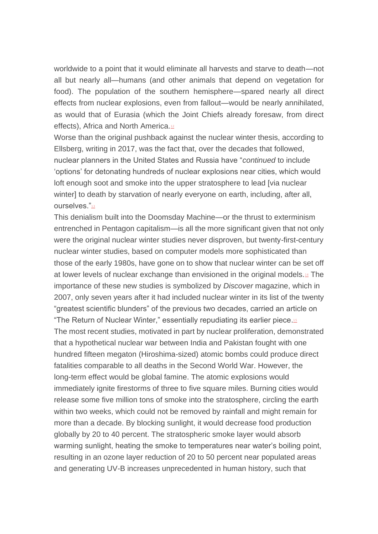worldwide to a point that it would eliminate all harvests and starve to death—not all but nearly all—humans (and other animals that depend on vegetation for food). The population of the southern hemisphere—spared nearly all direct effects from nuclear explosions, even from fallout—would be nearly annihilated, as would that of Eurasia (which the Joint Chiefs already foresaw, from direct effects), Africa and North America[.](https://monthlyreview.org/2022/05/01/notes-on-exterminism-for-the-twenty-first-century-ecology-and-peace-movements/?mc_cid=beb9d68d23&mc_eid=56eec46408#en12)<sup>12</sup>

Worse than the original pushback against the nuclear winter thesis, according to Ellsberg, writing in 2017, was the fact that, over the decades that followed, nuclear planners in the United States and Russia have "*continued* to include 'options' for detonating hundreds of nuclear explosions near cities, which would loft enough soot and smoke into the upper stratosphere to lead [via nuclear winter] to death by starvation of nearly everyone on earth, including, after all, ourselves.["](https://monthlyreview.org/2022/05/01/notes-on-exterminism-for-the-twenty-first-century-ecology-and-peace-movements/?mc_cid=beb9d68d23&mc_eid=56eec46408#en13)<sup>13</sup>

This denialism built into the Doomsday Machine—or the thrust to exterminism entrenched in Pentagon capitalism—is all the more significant given that not only were the original nuclear winter studies never disproven, but twenty-first-century nuclear winter studies, based on computer models more sophisticated than those of the early 1980s, have gone on to show that nuclear winter can be set off at lower levels of nuclear exchange than envisioned in the original models.<sup>[14](https://monthlyreview.org/2022/05/01/notes-on-exterminism-for-the-twenty-first-century-ecology-and-peace-movements/?mc_cid=beb9d68d23&mc_eid=56eec46408#en14)</sup> The importance of these new studies is symbolized by *Discover* magazine, which in 2007, only seven years after it had included nuclear winter in its list of the twenty "greatest scientific blunders" of the previous two decades, carried an article on **"The Return of Nuclear Winter," essentially repudiating its earlier piece.** The most recent studies, motivated in part by nuclear proliferation, demonstrated that a hypothetical nuclear war between India and Pakistan fought with one hundred fifteen megaton (Hiroshima-sized) atomic bombs could produce direct fatalities comparable to all deaths in the Second World War. However, the long-term effect would be global famine. The atomic explosions would immediately ignite firestorms of three to five square miles. Burning cities would release some five million tons of smoke into the stratosphere, circling the earth within two weeks, which could not be removed by rainfall and might remain for more than a decade. By blocking sunlight, it would decrease food production globally by 20 to 40 percent. The stratospheric smoke layer would absorb warming sunlight, heating the smoke to temperatures near water's boiling point, resulting in an ozone layer reduction of 20 to 50 percent near populated areas and generating UV-B increases unprecedented in human history, such that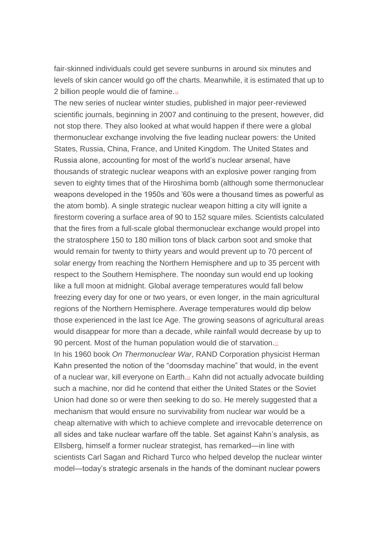fair-skinned individuals could get severe sunburns in around six minutes and levels of skin cancer would go off the charts. Meanwhile, it is estimated that up to 2 billion people would die of famine. $16$ 

The new series of nuclear winter studies, published in major peer-reviewed scientific journals, beginning in 2007 and continuing to the present, however, did not stop there. They also looked at what would happen if there were a global thermonuclear exchange involving the five leading nuclear powers: the United States, Russia, China, France, and United Kingdom. The United States and Russia alone, accounting for most of the world's nuclear arsenal, have thousands of strategic nuclear weapons with an explosive power ranging from seven to eighty times that of the Hiroshima bomb (although some thermonuclear weapons developed in the 1950s and '60s were a thousand times as powerful as the atom bomb). A single strategic nuclear weapon hitting a city will ignite a firestorm covering a surface area of 90 to 152 square miles. Scientists calculated that the fires from a full-scale global thermonuclear exchange would propel into the stratosphere 150 to 180 million tons of black carbon soot and smoke that would remain for twenty to thirty years and would prevent up to 70 percent of solar energy from reaching the Northern Hemisphere and up to 35 percent with respect to the Southern Hemisphere. The noonday sun would end up looking like a full moon at midnight. Global average temperatures would fall below freezing every day for one or two years, or even longer, in the main agricultural regions of the Northern Hemisphere. Average temperatures would dip below those experienced in the last Ice Age. The growing seasons of agricultural areas would disappear for more than a decade, while rainfall would decrease by up to 90 percent[.](https://monthlyreview.org/2022/05/01/notes-on-exterminism-for-the-twenty-first-century-ecology-and-peace-movements/?mc_cid=beb9d68d23&mc_eid=56eec46408#en17) Most of the human population would die of starvation.<sup>17</sup>

In his 1960 book *On Thermonuclear War*, RAND Corporation physicist Herman Kahn presented the notion of the "doomsday machine" that would, in the event of a nuclear war, kill everyone on Earth.[18](https://monthlyreview.org/2022/05/01/notes-on-exterminism-for-the-twenty-first-century-ecology-and-peace-movements/?mc_cid=beb9d68d23&mc_eid=56eec46408#en18) Kahn did not actually advocate building such a machine, nor did he contend that either the United States or the Soviet Union had done so or were then seeking to do so. He merely suggested that a mechanism that would ensure no survivability from nuclear war would be a cheap alternative with which to achieve complete and irrevocable deterrence on all sides and take nuclear warfare off the table. Set against Kahn's analysis, as Ellsberg, himself a former nuclear strategist, has remarked—in line with scientists Carl Sagan and Richard Turco who helped develop the nuclear winter model—today's strategic arsenals in the hands of the dominant nuclear powers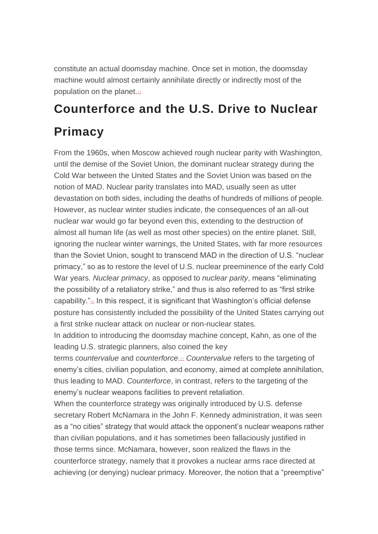constitute an actual doomsday machine. Once set in motion, the doomsday machine would almost certainly annihilate directly or indirectly most of the population on the planet.[19](https://monthlyreview.org/2022/05/01/notes-on-exterminism-for-the-twenty-first-century-ecology-and-peace-movements/?mc_cid=beb9d68d23&mc_eid=56eec46408#en19)

### **Counterforce and the U.S. Drive to Nuclear Primacy**

From the 1960s, when Moscow achieved rough nuclear parity with Washington, until the demise of the Soviet Union, the dominant nuclear strategy during the Cold War between the United States and the Soviet Union was based on the notion of MAD. Nuclear parity translates into MAD, usually seen as utter devastation on both sides, including the deaths of hundreds of millions of people. However, as nuclear winter studies indicate, the consequences of an all-out nuclear war would go far beyond even this, extending to the destruction of almost all human life (as well as most other species) on the entire planet. Still, ignoring the nuclear winter warnings, the United States, with far more resources than the Soviet Union, sought to transcend MAD in the direction of U.S. "nuclear primacy," so as to restore the level of U.S. nuclear preeminence of the early Cold War years. *Nuclear primacy*, as opposed to *nuclear parity*, means "eliminating the possibility of a retaliatory strike," and thus is also referred to as "first strike capability." $20$  In this respect, it is significant that Washington's official defense posture has consistently included the possibility of the United States carrying out a first strike nuclear attack on nuclear or non-nuclear states.

In addition to introducing the doomsday machine concept, Kahn, as one of the leading U.S. strategic planners, also coined the key

terms *countervalue* and *counterforce*. [21](https://monthlyreview.org/2022/05/01/notes-on-exterminism-for-the-twenty-first-century-ecology-and-peace-movements/?mc_cid=beb9d68d23&mc_eid=56eec46408#en21) *Countervalue* refers to the targeting of enemy's cities, civilian population, and economy, aimed at complete annihilation, thus leading to MAD. *Counterforce*, in contrast, refers to the targeting of the enemy's nuclear weapons facilities to prevent retaliation.

When the counterforce strategy was originally introduced by U.S. defense secretary Robert McNamara in the John F. Kennedy administration, it was seen as a "no cities" strategy that would attack the opponent's nuclear weapons rather than civilian populations, and it has sometimes been fallaciously justified in those terms since. McNamara, however, soon realized the flaws in the counterforce strategy, namely that it provokes a nuclear arms race directed at achieving (or denying) nuclear primacy. Moreover, the notion that a "preemptive"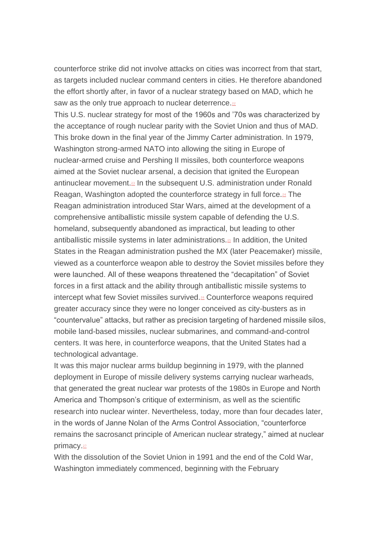counterforce strike did not involve attacks on cities was incorrect from that start, as targets included nuclear command centers in cities. He therefore abandoned the effort shortly after, in favor of a nuclear strategy based on MAD, which he saw as the only true approach to nuclear deterrence. $22$ 

This U.S. nuclear strategy for most of the 1960s and '70s was characterized by the acceptance of rough nuclear parity with the Soviet Union and thus of MAD. This broke down in the final year of the Jimmy Carter administration. In 1979, Washington strong-armed NATO into allowing the siting in Europe of nuclear-armed cruise and Pershing II missiles, both counterforce weapons aimed at the Soviet nuclear arsenal, a decision that ignited the European antinuclear movement.<sup>[23](https://monthlyreview.org/2022/05/01/notes-on-exterminism-for-the-twenty-first-century-ecology-and-peace-movements/?mc_cid=beb9d68d23&mc_eid=56eec46408#en23)</sup> In the subsequent U.S. administration under Ronald Reagan, Washington adopted the counterforce strategy in full force.<sup>[24](https://monthlyreview.org/2022/05/01/notes-on-exterminism-for-the-twenty-first-century-ecology-and-peace-movements/?mc_cid=beb9d68d23&mc_eid=56eec46408#en24)</sup> The Reagan administration introduced Star Wars, aimed at the development of a comprehensive antiballistic missile system capable of defending the U.S. homeland, subsequently abandoned as impractical, but leading to other antiballistic missile systems in later administrations.[25](https://monthlyreview.org/2022/05/01/notes-on-exterminism-for-the-twenty-first-century-ecology-and-peace-movements/?mc_cid=beb9d68d23&mc_eid=56eec46408#en25) In addition, the United States in the Reagan administration pushed the MX (later Peacemaker) missile, viewed as a counterforce weapon able to destroy the Soviet missiles before they were launched. All of these weapons threatened the "decapitation" of Soviet forces in a first attack and the ability through antiballistic missile systems to intercept what few Soviet missiles survived.<sup>[26](https://monthlyreview.org/2022/05/01/notes-on-exterminism-for-the-twenty-first-century-ecology-and-peace-movements/?mc_cid=beb9d68d23&mc_eid=56eec46408#en26)</sup> Counterforce weapons required greater accuracy since they were no longer conceived as city-busters as in "countervalue" attacks, but rather as precision targeting of hardened missile silos, mobile land-based missiles, nuclear submarines, and command-and-control centers. It was here, in counterforce weapons, that the United States had a technological advantage.

It was this major nuclear arms buildup beginning in 1979, with the planned deployment in Europe of missile delivery systems carrying nuclear warheads, that generated the great nuclear war protests of the 1980s in Europe and North America and Thompson's critique of exterminism, as well as the scientific research into nuclear winter. Nevertheless, today, more than four decades later, in the words of Janne Nolan of the Arms Control Association, "counterforce remains the sacrosanct principle of American nuclear strategy," aimed at nuclear primacy.<sup>[27](https://monthlyreview.org/2022/05/01/notes-on-exterminism-for-the-twenty-first-century-ecology-and-peace-movements/?mc_cid=beb9d68d23&mc_eid=56eec46408#en27)</sup>

With the dissolution of the Soviet Union in 1991 and the end of the Cold War, Washington immediately commenced, beginning with the February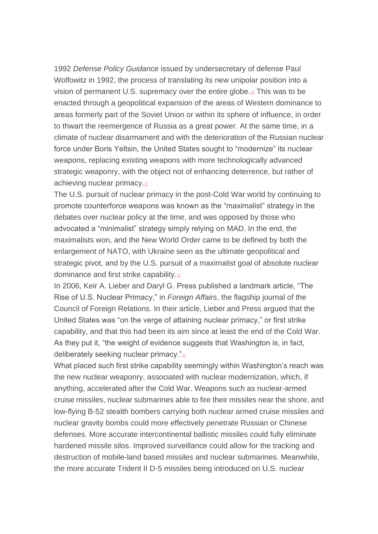1992 *Defense Policy Guidance* issued by undersecretary of defense Paul Wolfowitz in 1992, the process of translating its new unipolar position into a vision of permanent U.S. supremacy over the entire globe[.](https://monthlyreview.org/2022/05/01/notes-on-exterminism-for-the-twenty-first-century-ecology-and-peace-movements/?mc_cid=beb9d68d23&mc_eid=56eec46408#en28)<sup>28</sup> This was to be enacted through a geopolitical expansion of the areas of Western dominance to areas formerly part of the Soviet Union or within its sphere of influence, in order to thwart the reemergence of Russia as a great power. At the same time, in a climate of nuclear disarmament and with the deterioration of the Russian nuclear force under Boris Yeltsin, the United States sought to "modernize" its nuclear weapons, replacing existing weapons with more technologically advanced strategic weaponry, with the object not of enhancing deterrence, but rather of achieving nuclear primacy.<sup>[29](https://monthlyreview.org/2022/05/01/notes-on-exterminism-for-the-twenty-first-century-ecology-and-peace-movements/?mc_cid=beb9d68d23&mc_eid=56eec46408#en29)</sup>

The U.S. pursuit of nuclear primacy in the post-Cold War world by continuing to promote counterforce weapons was known as the "maximalist" strategy in the debates over nuclear policy at the time, and was opposed by those who advocated a "minimalist" strategy simply relying on MAD. In the end, the maximalists won, and the New World Order came to be defined by both the enlargement of NATO, with Ukraine seen as the ultimate geopolitical and strategic pivot, and by the U.S. pursuit of a maximalist goal of absolute nuclear dominance and first strike capability[.](https://monthlyreview.org/2022/05/01/notes-on-exterminism-for-the-twenty-first-century-ecology-and-peace-movements/?mc_cid=beb9d68d23&mc_eid=56eec46408#en30)<sup>30</sup>

In 2006, Keir A. Lieber and Daryl G. Press published a landmark article, "The Rise of U.S. Nuclear Primacy," in *Foreign Affairs*, the flagship journal of the Council of Foreign Relations. In their article, Lieber and Press argued that the United States was "on the verge of attaining nuclear primacy," or first strike capability, and that this had been its aim since at least the end of the Cold War. As they put it, "the weight of evidence suggests that Washington is, in fact, deliberately seeking nuclear primacy."<sup>[31](https://monthlyreview.org/2022/05/01/notes-on-exterminism-for-the-twenty-first-century-ecology-and-peace-movements/?mc_cid=beb9d68d23&mc_eid=56eec46408#en31)</sup>

What placed such first strike capability seemingly within Washington's reach was the new nuclear weaponry, associated with nuclear modernization, which, if anything, accelerated after the Cold War. Weapons such as nuclear-armed cruise missiles, nuclear submarines able to fire their missiles near the shore, and low-flying B-52 stealth bombers carrying both nuclear armed cruise missiles and nuclear gravity bombs could more effectively penetrate Russian or Chinese defenses. More accurate intercontinental ballistic missiles could fully eliminate hardened missile silos. Improved surveillance could allow for the tracking and destruction of mobile-land based missiles and nuclear submarines. Meanwhile, the more accurate Trident II D-5 missiles being introduced on U.S. nuclear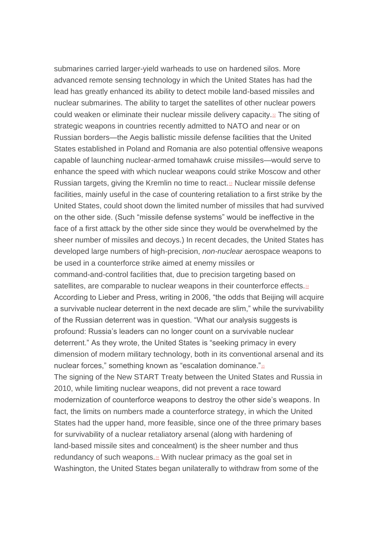submarines carried larger-vield warheads to use on hardened silos. More advanced remote sensing technology in which the United States has had the lead has greatly enhanced its ability to detect mobile land-based missiles and nuclear submarines. The ability to target the satellites of other nuclear powers could weaken or eliminate their nuclear missile delivery capacity[.](https://monthlyreview.org/2022/05/01/notes-on-exterminism-for-the-twenty-first-century-ecology-and-peace-movements/?mc_cid=beb9d68d23&mc_eid=56eec46408#en32)<sup>32</sup> The siting of strategic weapons in countries recently admitted to NATO and near or on Russian borders—the Aegis ballistic missile defense facilities that the United States established in Poland and Romania are also potential offensive weapons capable of launching nuclear-armed tomahawk cruise missiles—would serve to enhance the speed with which nuclear weapons could strike Moscow and other Russian targets, giving the Kremlin no time to react.<sup>[33](https://monthlyreview.org/2022/05/01/notes-on-exterminism-for-the-twenty-first-century-ecology-and-peace-movements/?mc_cid=beb9d68d23&mc_eid=56eec46408#en33)</sup> Nuclear missile defense facilities, mainly useful in the case of countering retaliation to a first strike by the United States, could shoot down the limited number of missiles that had survived on the other side. (Such "missile defense systems" would be ineffective in the face of a first attack by the other side since they would be overwhelmed by the sheer number of missiles and decoys.) In recent decades, the United States has developed large numbers of high-precision, *non-nuclear* aerospace weapons to be used in a counterforce strike aimed at enemy missiles or command-and-control facilities that, due to precision targeting based on satellites, are comparable to nuclear weapons in their counterforce effects[.](https://monthlyreview.org/2022/05/01/notes-on-exterminism-for-the-twenty-first-century-ecology-and-peace-movements/?mc_cid=beb9d68d23&mc_eid=56eec46408#en34)<sup>34</sup> According to Lieber and Press, writing in 2006, "the odds that Beijing will acquire a survivable nuclear deterrent in the next decade are slim," while the survivability of the Russian deterrent was in question. "What our analysis suggests is profound: Russia's leaders can no longer count on a survivable nuclear deterrent." As they wrote, the United States is "seeking primacy in every dimension of modern military technology, both in its conventional arsenal and its nuclear forces," something known as "escalation dominance."<sup>[35](https://monthlyreview.org/2022/05/01/notes-on-exterminism-for-the-twenty-first-century-ecology-and-peace-movements/?mc_cid=beb9d68d23&mc_eid=56eec46408#en35)</sup> The signing of the New START Treaty between the United States and Russia in 2010, while limiting nuclear weapons, did not prevent a race toward modernization of counterforce weapons to destroy the other side's weapons. In fact, the limits on numbers made a counterforce strategy, in which the United States had the upper hand, more feasible, since one of the three primary bases for survivability of a nuclear retaliatory arsenal (along with hardening of land-based missile sites and concealment) is the sheer number and thus redundancy of such weapons.<sup>[36](https://monthlyreview.org/2022/05/01/notes-on-exterminism-for-the-twenty-first-century-ecology-and-peace-movements/?mc_cid=beb9d68d23&mc_eid=56eec46408#en36)</sup> With nuclear primacy as the goal set in Washington, the United States began unilaterally to withdraw from some of the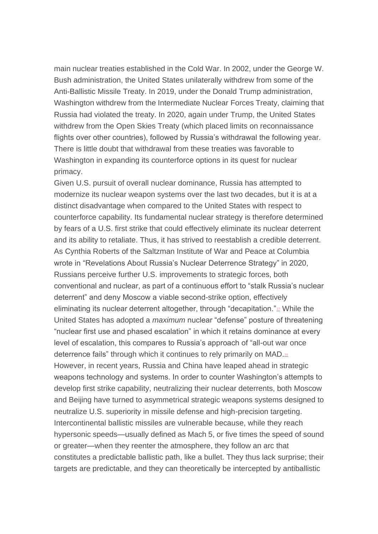main nuclear treaties established in the Cold War. In 2002, under the George W. Bush administration, the United States unilaterally withdrew from some of the Anti-Ballistic Missile Treaty. In 2019, under the Donald Trump administration, Washington withdrew from the Intermediate Nuclear Forces Treaty, claiming that Russia had violated the treaty. In 2020, again under Trump, the United States withdrew from the Open Skies Treaty (which placed limits on reconnaissance flights over other countries), followed by Russia's withdrawal the following year. There is little doubt that withdrawal from these treaties was favorable to Washington in expanding its counterforce options in its quest for nuclear primacy.

Given U.S. pursuit of overall nuclear dominance, Russia has attempted to modernize its nuclear weapon systems over the last two decades, but it is at a distinct disadvantage when compared to the United States with respect to counterforce capability. Its fundamental nuclear strategy is therefore determined by fears of a U.S. first strike that could effectively eliminate its nuclear deterrent and its ability to retaliate. Thus, it has strived to reestablish a credible deterrent. As Cynthia Roberts of the Saltzman Institute of War and Peace at Columbia wrote in "Revelations About Russia's Nuclear Deterrence Strategy" in 2020, Russians perceive further U.S. improvements to strategic forces, both conventional and nuclear, as part of a continuous effort to "stalk Russia's nuclear deterrent" and deny Moscow a viable second-strike option, effectively eliminating its nuclear deterrent altogether, through "decapitation." $32$  While the United States has adopted a *maximum* nuclear "defense" posture of threatening "nuclear first use and phased escalation" in which it retains dominance at every level of escalation, this compares to Russia's approach of "all-out war once deterrence fails" through which it continues to rely primarily on MAD.[38](https://monthlyreview.org/2022/05/01/notes-on-exterminism-for-the-twenty-first-century-ecology-and-peace-movements/?mc_cid=beb9d68d23&mc_eid=56eec46408#en38) However, in recent years, Russia and China have leaped ahead in strategic weapons technology and systems. In order to counter Washington's attempts to develop first strike capability, neutralizing their nuclear deterrents, both Moscow and Beijing have turned to asymmetrical strategic weapons systems designed to neutralize U.S. superiority in missile defense and high-precision targeting. Intercontinental ballistic missiles are vulnerable because, while they reach hypersonic speeds—usually defined as Mach 5, or five times the speed of sound or greater—when they reenter the atmosphere, they follow an arc that constitutes a predictable ballistic path, like a bullet. They thus lack surprise; their targets are predictable, and they can theoretically be intercepted by antiballistic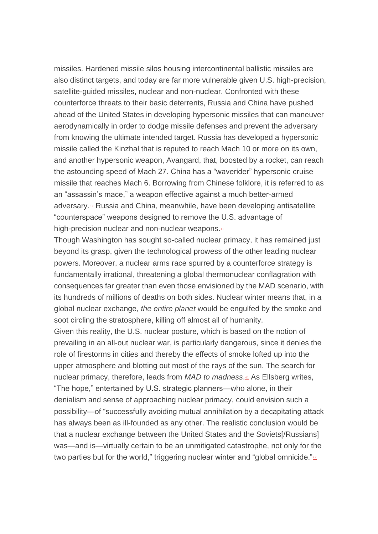missiles. Hardened missile silos housing intercontinental ballistic missiles are also distinct targets, and today are far more vulnerable given U.S. high-precision, satellite-guided missiles, nuclear and non-nuclear. Confronted with these counterforce threats to their basic deterrents, Russia and China have pushed ahead of the United States in developing hypersonic missiles that can maneuver aerodynamically in order to dodge missile defenses and prevent the adversary from knowing the ultimate intended target. Russia has developed a hypersonic missile called the Kinzhal that is reputed to reach Mach 10 or more on its own, and another hypersonic weapon, Avangard, that, boosted by a rocket, can reach the astounding speed of Mach 27. China has a "waverider" hypersonic cruise missile that reaches Mach 6. Borrowing from Chinese folklore, it is referred to as an "assassin's mace," a weapon effective against a much better-armed adversary.<sup>[39](https://monthlyreview.org/2022/05/01/notes-on-exterminism-for-the-twenty-first-century-ecology-and-peace-movements/?mc_cid=beb9d68d23&mc_eid=56eec46408#en39)</sup> Russia and China, meanwhile, have been developing antisatellite "counterspace" weapons designed to remove the U.S. advantage of high-precision nuclear and non-nuclear weapons.[40](https://monthlyreview.org/2022/05/01/notes-on-exterminism-for-the-twenty-first-century-ecology-and-peace-movements/?mc_cid=beb9d68d23&mc_eid=56eec46408#en40)

Though Washington has sought so-called nuclear primacy, it has remained just beyond its grasp, given the technological prowess of the other leading nuclear powers. Moreover, a nuclear arms race spurred by a counterforce strategy is fundamentally irrational, threatening a global thermonuclear conflagration with consequences far greater than even those envisioned by the MAD scenario, with its hundreds of millions of deaths on both sides. Nuclear winter means that, in a global nuclear exchange, *the entire planet* would be engulfed by the smoke and soot circling the stratosphere, killing off almost all of humanity.

Given this reality, the U.S. nuclear posture, which is based on the notion of prevailing in an all-out nuclear war, is particularly dangerous, since it denies the role of firestorms in cities and thereby the effects of smoke lofted up into the upper atmosphere and blotting out most of the rays of the sun. The search for nuclear primacy, therefore, leads from *MAD to madness*. [41](https://monthlyreview.org/2022/05/01/notes-on-exterminism-for-the-twenty-first-century-ecology-and-peace-movements/?mc_cid=beb9d68d23&mc_eid=56eec46408#en41) As Ellsberg writes, "The hope," entertained by U.S. strategic planners—who alone, in their denialism and sense of approaching nuclear primacy, could envision such a possibility—of "successfully avoiding mutual annihilation by a decapitating attack has always been as ill-founded as any other. The realistic conclusion would be that a nuclear exchange between the United States and the Soviets[/Russians] was—and is—virtually certain to be an unmitigated catastrophe, not only for the two parties but for the world," triggering nuclear winter and "global omnicide." $42$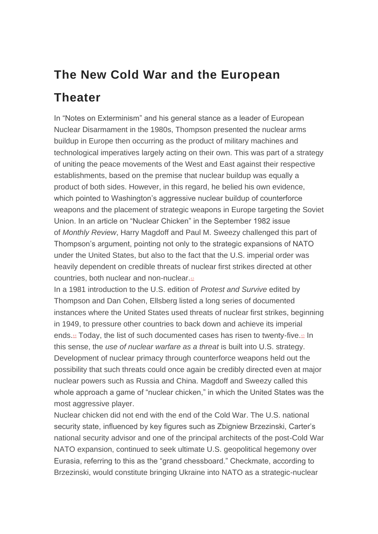### **The New Cold War and the European Theater**

In "Notes on Exterminism" and his general stance as a leader of European Nuclear Disarmament in the 1980s, Thompson presented the nuclear arms buildup in Europe then occurring as the product of military machines and technological imperatives largely acting on their own. This was part of a strategy of uniting the peace movements of the West and East against their respective establishments, based on the premise that nuclear buildup was equally a product of both sides. However, in this regard, he belied his own evidence, which pointed to Washington's aggressive nuclear buildup of counterforce weapons and the placement of strategic weapons in Europe targeting the Soviet Union. In an article on "Nuclear Chicken" in the September 1982 issue of *Monthly Review*, Harry Magdoff and Paul M. Sweezy challenged this part of Thompson's argument, pointing not only to the strategic expansions of NATO under the United States, but also to the fact that the U.S. imperial order was heavily dependent on credible threats of nuclear first strikes directed at other countries, both nuclear and non-nuclear.[43](https://monthlyreview.org/2022/05/01/notes-on-exterminism-for-the-twenty-first-century-ecology-and-peace-movements/?mc_cid=beb9d68d23&mc_eid=56eec46408#en43)

In a 1981 introduction to the U.S. edition of *Protest and Survive* edited by Thompson and Dan Cohen, Ellsberg listed a long series of documented instances where the United States used threats of nuclear first strikes, beginning in 1949, to pressure other countries to back down and achieve its imperial ends[.](https://monthlyreview.org/2022/05/01/notes-on-exterminism-for-the-twenty-first-century-ecology-and-peace-movements/?mc_cid=beb9d68d23&mc_eid=56eec46408#en44)<sup>44</sup> Today, the list of such documented cases has risen to twenty-five.[45](https://monthlyreview.org/2022/05/01/notes-on-exterminism-for-the-twenty-first-century-ecology-and-peace-movements/?mc_cid=beb9d68d23&mc_eid=56eec46408#en45) In this sense, the *use of nuclear warfare as a threat* is built into U.S. strategy. Development of nuclear primacy through counterforce weapons held out the possibility that such threats could once again be credibly directed even at major nuclear powers such as Russia and China. Magdoff and Sweezy called this whole approach a game of "nuclear chicken," in which the United States was the most aggressive player.

Nuclear chicken did not end with the end of the Cold War. The U.S. national security state, influenced by key figures such as Zbigniew Brzezinski, Carter's national security advisor and one of the principal architects of the post-Cold War NATO expansion, continued to seek ultimate U.S. geopolitical hegemony over Eurasia, referring to this as the "grand chessboard." Checkmate, according to Brzezinski, would constitute bringing Ukraine into NATO as a strategic-nuclear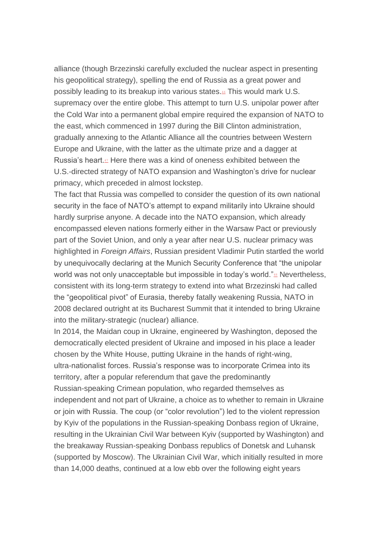alliance (though Brzezinski carefully excluded the nuclear aspect in presenting his geopolitical strategy), spelling the end of Russia as a great power and possibly leading to its breakup into various states.[46](https://monthlyreview.org/2022/05/01/notes-on-exterminism-for-the-twenty-first-century-ecology-and-peace-movements/?mc_cid=beb9d68d23&mc_eid=56eec46408#en46) This would mark U.S. supremacy over the entire globe. This attempt to turn U.S. unipolar power after the Cold War into a permanent global empire required the expansion of NATO to the east, which commenced in 1997 during the Bill Clinton administration, gradually annexing to the Atlantic Alliance all the countries between Western Europe and Ukraine, with the latter as the ultimate prize and a dagger at Russia's heart.<sup>[47](https://monthlyreview.org/2022/05/01/notes-on-exterminism-for-the-twenty-first-century-ecology-and-peace-movements/?mc_cid=beb9d68d23&mc_eid=56eec46408#en47)</sup> Here there was a kind of oneness exhibited between the U.S.-directed strategy of NATO expansion and Washington's drive for nuclear primacy, which preceded in almost lockstep.

The fact that Russia was compelled to consider the question of its own national security in the face of NATO's attempt to expand militarily into Ukraine should hardly surprise anyone. A decade into the NATO expansion, which already encompassed eleven nations formerly either in the Warsaw Pact or previously part of the Soviet Union, and only a year after near U.S. nuclear primacy was highlighted in *Foreign Affairs*, Russian president Vladimir Putin startled the world by unequivocally declaring at the Munich Security Conference that "the unipolar world was not only unacceptable but impossible in today's world."<sup>[48](https://monthlyreview.org/2022/05/01/notes-on-exterminism-for-the-twenty-first-century-ecology-and-peace-movements/?mc_cid=beb9d68d23&mc_eid=56eec46408#en48)</sup> Nevertheless, consistent with its long-term strategy to extend into what Brzezinski had called the "geopolitical pivot" of Eurasia, thereby fatally weakening Russia, NATO in 2008 declared outright at its Bucharest Summit that it intended to bring Ukraine into the military-strategic (nuclear) alliance.

In 2014, the Maidan coup in Ukraine, engineered by Washington, deposed the democratically elected president of Ukraine and imposed in his place a leader chosen by the White House, putting Ukraine in the hands of right-wing, ultra-nationalist forces. Russia's response was to incorporate Crimea into its territory, after a popular referendum that gave the predominantly Russian-speaking Crimean population, who regarded themselves as independent and not part of Ukraine, a choice as to whether to remain in Ukraine or join with Russia. The coup (or "color revolution") led to the violent repression by Kyiv of the populations in the Russian-speaking Donbass region of Ukraine, resulting in the Ukrainian Civil War between Kyiv (supported by Washington) and the breakaway Russian-speaking Donbass republics of Donetsk and Luhansk (supported by Moscow). The Ukrainian Civil War, which initially resulted in more than 14,000 deaths, continued at a low ebb over the following eight years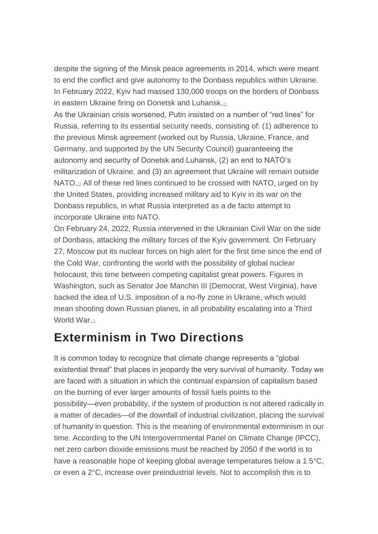despite the signing of the Minsk peace agreements in 2014, which were meant to end the conflict and give autonomy to the Donbass republics within Ukraine. In February 2022, Kyiv had massed 130,000 troops on the borders of Donbass in eastern Ukraine firing on Donetsk and Luhansk.<sup>[49](https://monthlyreview.org/2022/05/01/notes-on-exterminism-for-the-twenty-first-century-ecology-and-peace-movements/?mc_cid=beb9d68d23&mc_eid=56eec46408#en49)</sup>

As the Ukrainian crisis worsened, Putin insisted on a number of "red lines" for Russia, referring to its essential security needs, consisting of: (1) adherence to the previous Minsk agreement (worked out by Russia, Ukraine, France, and Germany, and supported by the UN Security Council) guaranteeing the autonomy and security of Donetsk and Luhansk, (2) an end to NATO's militarization of Ukraine, and (3) an agreement that Ukraine will remain outside NATO[.](https://monthlyreview.org/2022/05/01/notes-on-exterminism-for-the-twenty-first-century-ecology-and-peace-movements/?mc_cid=beb9d68d23&mc_eid=56eec46408#en50)<sup>50</sup> All of these red lines continued to be crossed with NATO, urged on by the United States, providing increased military aid to Kyiv in its war on the Donbass republics, in what Russia interpreted as a de facto attempt to incorporate Ukraine into NATO.

On February 24, 2022, Russia intervened in the Ukrainian Civil War on the side of Donbass, attacking the military forces of the Kyiv government. On February 27, Moscow put its nuclear forces on high alert for the first time since the end of the Cold War, confronting the world with the possibility of global nuclear holocaust, this time between competing capitalist great powers. Figures in Washington, such as Senator Joe Manchin III (Democrat, West Virginia), have backed the idea of U.S. imposition of a no-fly zone in Ukraine, which would mean shooting down Russian planes, in all probability escalating into a Third World War.[51](https://monthlyreview.org/2022/05/01/notes-on-exterminism-for-the-twenty-first-century-ecology-and-peace-movements/?mc_cid=beb9d68d23&mc_eid=56eec46408#en51)

#### **Exterminism in Two Directions**

It is common today to recognize that climate change represents a "global existential threat" that places in jeopardy the very survival of humanity. Today we are faced with a situation in which the continual expansion of capitalism based on the burning of ever larger amounts of fossil fuels points to the possibility—even probability, if the system of production is not altered radically in a matter of decades—of the downfall of industrial civilization, placing the survival of humanity in question. This is the meaning of environmental exterminism in our time. According to the UN Intergovernmental Panel on Climate Change (IPCC), net zero carbon dioxide emissions must be reached by 2050 if the world is to have a reasonable hope of keeping global average temperatures below a 1.5°C, or even a 2°C, increase over preindustrial levels. Not to accomplish this is to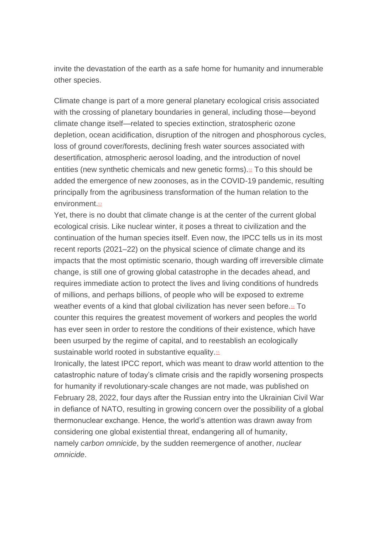invite the devastation of the earth as a safe home for humanity and innumerable other species.

Climate change is part of a more general planetary ecological crisis associated with the crossing of planetary boundaries in general, including those—beyond climate change itself—related to species extinction, stratospheric ozone depletion, ocean acidification, disruption of the nitrogen and phosphorous cycles, loss of ground cover/forests, declining fresh water sources associated with desertification, atmospheric aerosol loading, and the introduction of novel entities (new synthetic chemicals and new genetic forms). $52$  To this should be added the emergence of new zoonoses, as in the COVID-19 pandemic, resulting principally from the agribusiness transformation of the human relation to the environment.<sup>[53](https://monthlyreview.org/2022/05/01/notes-on-exterminism-for-the-twenty-first-century-ecology-and-peace-movements/?mc_cid=beb9d68d23&mc_eid=56eec46408#en53)</sup>

Yet, there is no doubt that climate change is at the center of the current global ecological crisis. Like nuclear winter, it poses a threat to civilization and the continuation of the human species itself. Even now, the IPCC tells us in its most recent reports (2021–22) on the physical science of climate change and its impacts that the most optimistic scenario, though warding off irreversible climate change, is still one of growing global catastrophe in the decades ahead, and requires immediate action to protect the lives and living conditions of hundreds of millions, and perhaps billions, of people who will be exposed to extreme weather events of a kind that global civilization has never seen before.<sup>[54](https://monthlyreview.org/2022/05/01/notes-on-exterminism-for-the-twenty-first-century-ecology-and-peace-movements/?mc_cid=beb9d68d23&mc_eid=56eec46408#en54)</sup> To counter this requires the greatest movement of workers and peoples the world has ever seen in order to restore the conditions of their existence, which have been usurped by the regime of capital, and to reestablish an ecologically sustainable world rooted in substantive equality.<sup>[55](https://monthlyreview.org/2022/05/01/notes-on-exterminism-for-the-twenty-first-century-ecology-and-peace-movements/?mc_cid=beb9d68d23&mc_eid=56eec46408#en55)</sup>

Ironically, the latest IPCC report, which was meant to draw world attention to the catastrophic nature of today's climate crisis and the rapidly worsening prospects for humanity if revolutionary-scale changes are not made, was published on February 28, 2022, four days after the Russian entry into the Ukrainian Civil War in defiance of NATO, resulting in growing concern over the possibility of a global thermonuclear exchange. Hence, the world's attention was drawn away from considering one global existential threat, endangering all of humanity, namely *carbon omnicide*, by the sudden reemergence of another, *nuclear omnicide*.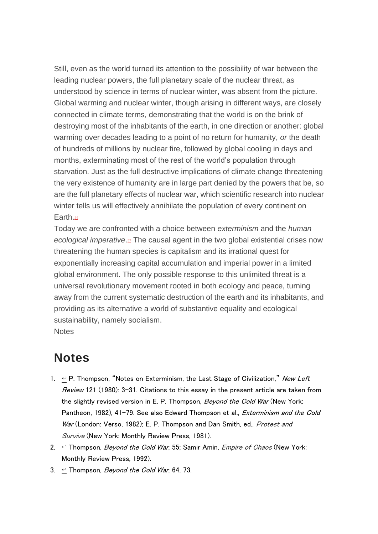Still, even as the world turned its attention to the possibility of war between the leading nuclear powers, the full planetary scale of the nuclear threat, as understood by science in terms of nuclear winter, was absent from the picture. Global warming and nuclear winter, though arising in different ways, are closely connected in climate terms, demonstrating that the world is on the brink of destroying most of the inhabitants of the earth, in one direction or another: global warming over decades leading to a point of no return for humanity, *or* the death of hundreds of millions by nuclear fire, followed by global cooling in days and months, exterminating most of the rest of the world's population through starvation. Just as the full destructive implications of climate change threatening the very existence of humanity are in large part denied by the powers that be, so are the full planetary effects of nuclear war, which scientific research into nuclear winter tells us will effectively annihilate the population of every continent on Earth.<sup>[56](https://monthlyreview.org/2022/05/01/notes-on-exterminism-for-the-twenty-first-century-ecology-and-peace-movements/?mc_cid=beb9d68d23&mc_eid=56eec46408#en56)</sup>

Today we are confronted with a choice between *exterminism* and the *human ecological imperative*[.](https://monthlyreview.org/2022/05/01/notes-on-exterminism-for-the-twenty-first-century-ecology-and-peace-movements/?mc_cid=beb9d68d23&mc_eid=56eec46408#en57)<sup>27</sup> The causal agent in the two global existential crises now threatening the human species is capitalism and its irrational quest for exponentially increasing capital accumulation and imperial power in a limited global environment. The only possible response to this unlimited threat is a universal revolutionary movement rooted in both ecology and peace, turning away from the current systematic destruction of the earth and its inhabitants, and providing as its alternative a world of substantive equality and ecological sustainability, namely socialism. **Notes** 

#### **Notes**

- 1.  $\leftrightarrow$  P. Thompson, "Notes on Exterminism, the Last Stage of Civilization," New Left Review 121 (1980): 3-31. Citations to this essay in the present article are taken from the slightly revised version in E. P. Thompson, Beyond the Cold War (New York: Pantheon, 1982), 41-79. See also Edward Thompson et al., Exterminism and the Cold War (London: Verso, 1982); E. P. Thompson and Dan Smith, ed., [Protest](https://monthlyreview.org/product/protest_and_survive/) and [Survive](https://monthlyreview.org/product/protest_and_survive/) (New York: Monthly Review Press, 1981).
- 2.  $\leftrightarrow$  Thompson, *Beyond the Cold War*, 55; Samir Amin, *[Empire](https://monthlyreview.org/product/empire_of_chaos/) of Chaos* (New York: Monthly Review Press, 1992).
- 3.  $\leftrightarrow$  Thompson, *Beyond the Cold War*, 64, 73.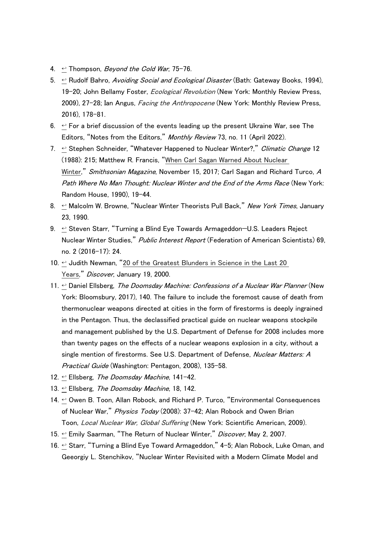- 4.  $\leftrightarrow$  Thompson, *Beyond the Cold War*, 75-76.
- 5.  $\leftrightarrow$  Rudolf Bahro, Avoiding Social and Ecological Disaster (Bath: Gateway Books, 1994), 19–20; John Bellamy Foster, *[Ecological](https://monthlyreview.org/product/ecological_revolution/) Revolution* (New York: Monthly Review Press, 2009), 27–28; Ian Angus, *Facing the [Anthropocene](https://monthlyreview.org/product/facing_the_anthropocene/)* (New York: Monthly Review Press, 2016), 178–81.
- 6.  $\leftrightarrow$  For a brief discussion of the events leading up the present Ukraine War, see The Editors, "Notes from the Editors," Monthly Review 73, no. 11 (April 2022).
- 7.  $\leftrightarrow$  Stephen Schneider, "Whatever Happened to Nuclear Winter?," Climatic Change 12 (1988): 215; Matthew R. Francis, "When Carl Sagan Warned About [Nuclear](https://www.smithsonianmag.com/science-nature/when-carl-sagan-warned-world-about-nuclear-winter-180967198/) [Winter](https://www.smithsonianmag.com/science-nature/when-carl-sagan-warned-world-about-nuclear-winter-180967198/)," Smithsonian Magazine, November 15, 2017; Carl Sagan and Richard Turco, A Path Where No Man Thought: Nuclear Winter and the End of the Arms Race (New York: Random House, 1990), 19–44.
- 8.  $\leftrightarrow$  Malcolm W. Browne, "Nuclear Winter Theorists Pull Back," New York Times, January 23, 1990.
- 9.  $\leftrightarrow$  Steven Starr, "Turning a Blind Eye Towards Armageddon-U.S. Leaders Reject Nuclear Winter Studies," Public Interest Report (Federation of American Scientists) 69, no. 2 (2016–17): 24.
- 10.  $\leftrightarrow$  Judith Newman, "20 of the [Greatest](https://www.discovermagazine.com/the-sciences/20-of-the-greatest-blunders-in-science-in-the-last-20-years) Blunders in Science in the Last 20 [Years](https://www.discovermagazine.com/the-sciences/20-of-the-greatest-blunders-in-science-in-the-last-20-years)," Discover, January 19, 2000.
- 11.  $\leftrightarrow$  Daniel Ellsberg, The Doomsday Machine: Confessions of a Nuclear War Planner (New York: Bloomsbury, 2017), 140. The failure to include the foremost cause of death from thermonuclear weapons directed at cities in the form of firestorms is deeply ingrained in the Pentagon. Thus, the declassified practical guide on nuclear weapons stockpile and management published by the U.S. Department of Defense for 2008 includes more than twenty pages on the effects of a nuclear weapons explosion in a city, without a single mention of firestorms. See U.S. Department of Defense, Nuclear Matters: A Practical Guide (Washington: Pentagon, 2008), 135–58.
- 12.  $\leftrightarrow$  Ellsberg, The Doomsday Machine, 141-42.
- 13.  $\div$  Ellsberg, The Doomsday Machine, 18, 142.
- 14. ← Owen B. Toon, Allan Robock, and Richard P. Turco, "Environmental Consequences of Nuclear War," Physics Today (2008): 37-42; Alan Robock and Owen Brian Toon, Local Nuclear War, Global [Suffering](https://climate.envsci.rutgers.edu/pdf/RobockToonSciAmJan2010.pdf) (New York: Scientific American, 2009).
- 15. ← Emily Saarman, "The Return of Nuclear Winter," Discover, May 2, 2007.
- 16.  $\leq$  Starr, "Turning a Blind Eye Toward Armageddon," 4-5; Alan Robock, Luke Oman, and Geeorgiy L. Stenchikov, "Nuclear Winter Revisited with a Modern Climate Model and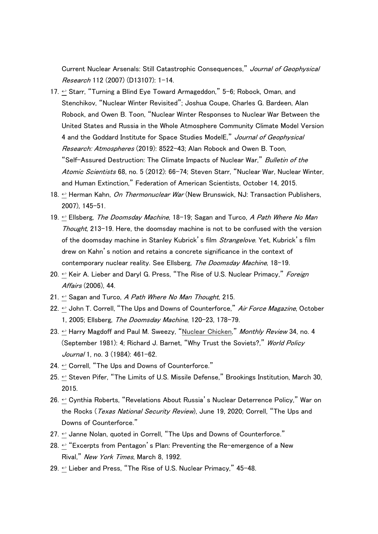Current Nuclear Arsenals: Still Catastrophic Consequences," Journal of Geophysical Research 112 (2007) (D13107): 1–14.

- 17. ← Starr, "Turning a Blind Eye Toward Armageddon," 5-6; Robock, Oman, and Stenchikov, "Nuclear Winter Revisited"; Joshua Coupe, Charles G. Bardeen, Alan Robock, and Owen B. Toon, "Nuclear Winter Responses to Nuclear War Between the United States and Russia in the Whole Atmosphere Community Climate Model Version 4 and the Goddard Institute for Space Studies ModelE," Journal of Geophysical Research: Atmospheres (2019): 8522-43; Alan Robock and Owen B. Toon, "Self-Assured Destruction: The Climate Impacts of Nuclear War," Bulletin of the Atomic Scientists 68, no. 5 (2012): 66-74; Steven Starr, "Nuclear War, Nuclear Winter, and Human Extinction," Federation of American Scientists, October 14, 2015.
- 18.  $\leftrightarrow$  Herman Kahn, On Thermonuclear War (New Brunswick, NJ: Transaction Publishers, 2007), 145–51.
- 19.  $\leq$  Ellsberg, *The Doomsday Machine*, 18–19; Sagan and Turco, *A Path Where No Man* Thought, 213–19. Here, the doomsday machine is not to be confused with the version of the doomsday machine in Stanley Kubrick's film *Strangelove*. Yet, Kubrick's film drew on Kahn's notion and retains a concrete significance in the context of contemporary nuclear reality. See Ellsberg, The Doomsday Machine, 18-19.
- 20.  $\leq$  Keir A. Lieber and Daryl G. Press, "The Rise of U.S. Nuclear Primacy," Foreign Affairs (2006), 44.
- 21.  $\leftrightarrow$  Sagan and Turco, A Path Where No Man Thought, 215.
- 22.  $\leftrightarrow$  John T. Correll, "The Ups and Downs of Counterforce," Air Force Magazine, October 1, 2005; Ellsberg, The Doomsday Machine, 120–23, 178–79.
- 23.  $\leftrightarrow$  Harry Magdoff and Paul M. Sweezy, "Nuclear [Chicken](https://doi.org/10.14452/MR-034-04-1982-08_1)," Monthly Review 34, no. 4 (September 1981): 4; Richard J. Barnet, "Why Trust the Soviets?," World Policy Journal 1, no. 3 (1984): 461-62.
- 24.  $\leftrightarrow$  Correll. "The Ups and Downs of Counterforce."
- 25.  $\leftrightarrow$  Steven Pifer, "The Limits of U.S. Missile Defense," Brookings Institution, March 30, 2015.
- 26.  $\leq$  Cynthia Roberts, "Revelations About Russia's Nuclear Deterrence Policy," War on the Rocks (*Texas National Security Review*), June 19, 2020; Correll, "The Ups and Downs of Counterforce."
- 27.  $\leq$  Janne Nolan, quoted in Correll, "The Ups and Downs of Counterforce."
- 28.  $\leftrightarrow$  "Excerpts from Pentagon's Plan: Preventing the Re-emergence of a New Rival," New York Times, March 8, 1992.
- 29.  $\leftrightarrow$  Lieber and Press, "The Rise of U.S. Nuclear Primacy," 45-48.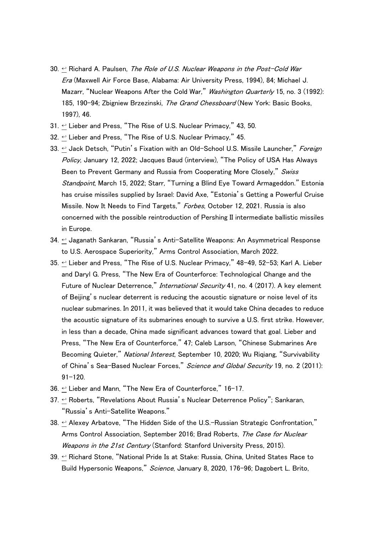- 30.  $\leftrightarrow$  Richard A. Paulsen, The Role of U.S. Nuclear Weapons in the Post-Cold War Era (Maxwell Air Force Base, Alabama: Air University Press, 1994), 84; Michael J. Mazarr, "Nuclear Weapons After the Cold War," Washington Quarterly 15, no. 3 (1992): 185, 190-94; Zbigniew Brzezinski, The Grand Chessboard (New York: Basic Books, 1997), 46.
- 31.  $\leftrightarrow$  Lieber and Press, "The Rise of U.S. Nuclear Primacy," 43, 50.
- 32.  $\leq$  Lieber and Press, "The Rise of U.S. Nuclear Primacy," 45.
- 33.  $\leftrightarrow$  Jack Detsch, "Putin's Fixation with an Old-School U.S. Missile Launcher," Foreign Policy, January 12, 2022; Jacques Baud (interview), "The Policy of USA Has Always Been to Prevent Germany and Russia from Cooperating More Closely," Swiss Standpoint, March 15, 2022; Starr, "Turning a Blind Eye Toward Armageddon." Estonia has cruise missiles supplied by Israel: David Axe, "Estonia's Getting a Powerful Cruise Missile. Now It Needs to Find Targets," Forbes, October 12, 2021. Russia is also concerned with the possible reintroduction of Pershing II intermediate ballistic missiles in Europe.
- 34.  $\leftrightarrow$  Jaganath Sankaran, "Russia's Anti-Satellite Weapons: An Asymmetrical Response to U.S. Aerospace Superiority," Arms Control Association, March 2022.
- 35.  $\leftrightarrow$  Lieber and Press, "The Rise of U.S. Nuclear Primacy," 48-49, 52-53; Karl A. Lieber and Daryl G. Press, "The New Era of Counterforce: Technological Change and the Future of Nuclear Deterrence," International Security 41, no. 4 (2017). A key element of Beijing's nuclear deterrent is reducing the acoustic signature or noise level of its nuclear submarines. In 2011, it was believed that it would take China decades to reduce the acoustic signature of its submarines enough to survive a U.S. first strike. However, in less than a decade, China made significant advances toward that goal. Lieber and Press, "The New Era of Counterforce," 47; Caleb Larson, "Chinese Submarines Are Becoming Quieter," National Interest, September 10, 2020; Wu Rigiang, "Survivability of China's Sea-Based Nuclear Forces," Science and Global Security 19, no. 2 (2011): 91–120.
- 36.  $\leftrightarrow$  Lieber and Mann, "The New Era of Counterforce," 16-17.
- 37. ← Roberts, "Revelations About Russia's Nuclear Deterrence Policy"; Sankaran, "Russia's Anti-Satellite Weapons."
- 38.  $\leftrightarrow$  Alexey Arbatove, "The Hidden Side of the U.S.-Russian Strategic Confrontation," Arms Control Association, September 2016; Brad Roberts, The Case for Nuclear Weapons in the 21st Century (Stanford: Stanford University Press, 2015).
- 39.  $\leq$  Richard Stone, "National Pride Is at Stake: Russia, China, United States Race to Build Hypersonic Weapons," Science, January 8, 2020, 176-96; Dagobert L. Brito,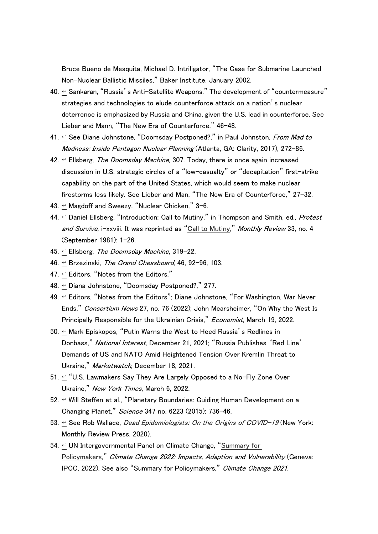Bruce Bueno de Mesquita, Michael D. Intriligator, "The Case for Submarine Launched Non-Nuclear Ballistic Missiles," Baker Institute, January 2002.

- 40.  $\leq$  Sankaran, "Russia's Anti-Satellite Weapons." The development of "countermeasure" strategies and technologies to elude counterforce attack on a nation's nuclear deterrence is emphasized by Russia and China, given the U.S. lead in counterforce. See Lieber and Mann, "The New Era of Counterforce," 46–48.
- 41.  $\leftrightarrow$  See Diane Johnstone, "Doomsday Postponed?," in Paul Johnston, From Mad to Madness: Inside Pentagon Nuclear Planning (Atlanta, GA: Clarity, 2017), 272-86.
- 42.  $\leftrightarrow$  Ellsberg, The Doomsday Machine, 307. Today, there is once again increased discussion in U.S. strategic circles of a "low-casualty" or "decapitation" first-strike capability on the part of the United States, which would seem to make nuclear firestorms less likely. See Lieber and Man, "The New Era of Counterforce," 27–32.
- 43. [↩](https://monthlyreview.org/2022/05/01/notes-on-exterminism-for-the-twenty-first-century-ecology-and-peace-movements/?mc_cid=beb9d68d23&mc_eid=56eec46408#en43backlink) Magdoff and Sweezy, "Nuclear Chicken," 3–6.
- 44.  $\leftrightarrow$  Daniel Ellsberg, "Introduction: Call to Mutiny," in Thompson and Smith, ed., Protest and Survive, i-xxviii. It was reprinted as "Call to [Mutiny](https://doi.org/10.14452/MR-033-04-1981-08_1)," Monthly Review 33, no. 4 (September 1981): 1–26.
- 45.  $\leftrightarrow$  Ellsberg, The Doomsday Machine, 319-22.
- 46.  $\leftrightarrow$  Brzezinski, The Grand Chessboard, 46, 92-96, 103.
- 47.  $\leftrightarrow$  Editors, "Notes from the Editors."
- 48. [↩](https://monthlyreview.org/2022/05/01/notes-on-exterminism-for-the-twenty-first-century-ecology-and-peace-movements/?mc_cid=beb9d68d23&mc_eid=56eec46408#en48backlink) Diana Johnstone, "Doomsday Postponed?," 277.
- 49.  $\leftrightarrow$  Editors, "Notes from the Editors": Diane Johnstone, "For Washington, War Never Ends," Consortium News 27, no. 76 (2022); John Mearsheimer, "On Why the West Is Principally Responsible for the Ukrainian Crisis." *Economist*, March 19, 2022.
- 50.  $\leftrightarrow$  Mark Episkopos, "Putin Warns the West to Heed Russia's Redlines in Donbass," National Interest, December 21, 2021; "Russia Publishes 'Red Line' Demands of US and NATO Amid Heightened Tension Over Kremlin Threat to Ukraine," Marketwatch, December 18, 2021.
- 51.  $\leq$  "U.S. Lawmakers Say They Are Largely Opposed to a No-Fly Zone Over Ukraine," New York Times, March 6, 2022.
- 52.  $\leftrightarrow$  Will Steffen et al., "Planetary Boundaries: Guiding Human Development on a Changing Planet," Science 347 no. 6223 (2015): 736–46.
- 53.  $\leftrightarrow$  See Rob Wallace, *Dead [Epidemiologists:](https://monthlyreview.org/product/dead-epidemiologists-on-the-origins-of-covid-19/) On the Origins of COVID-19* (New York: Monthly Review Press, 2020).
- 54.  $\leftrightarrow$  UN Intergovernmental Panel on Climate Change, "[Summary](https://www.ipcc.ch/report/ar6/wg2/downloads/report/IPCC_AR6_WGII_SummaryForPolicymakers.pdf) for [Policymakers](https://www.ipcc.ch/report/ar6/wg2/downloads/report/IPCC_AR6_WGII_SummaryForPolicymakers.pdf)," Climate Change 2022: Impacts, Adaption and Vulnerability (Geneva: IPCC, 2022). See also "Summary for Policymakers," Climate Change <sup>2021</sup>.